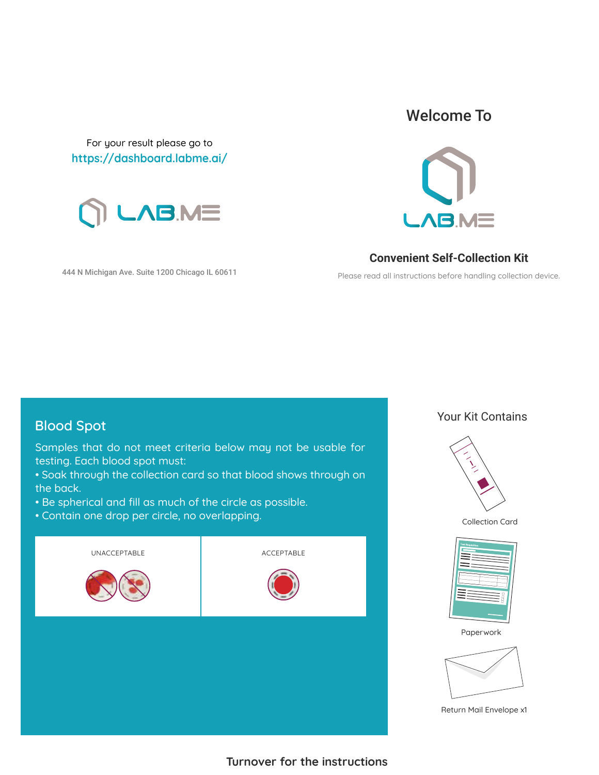For your result please go to **https://dashboard.labme.ai/**



444 N Michigan Ave. Suite 1200 Chicago IL 60611

### Welcome To



**Convenient Self-Collection Kit**

Please read all instructions before handling collection device.

Samples that do not meet criteria below may not be usable for testing. Each blood spot must:

- Soak through the collection card so that blood shows through on the back.
- Be spherical and fill as much of the circle as possible.
- Contain one drop per circle, no overlapping.



## **Blood Spot** Your Kit Contains



Collection Card



Paperwork



Return Mail Envelope x1

**Turnover for the instructions**